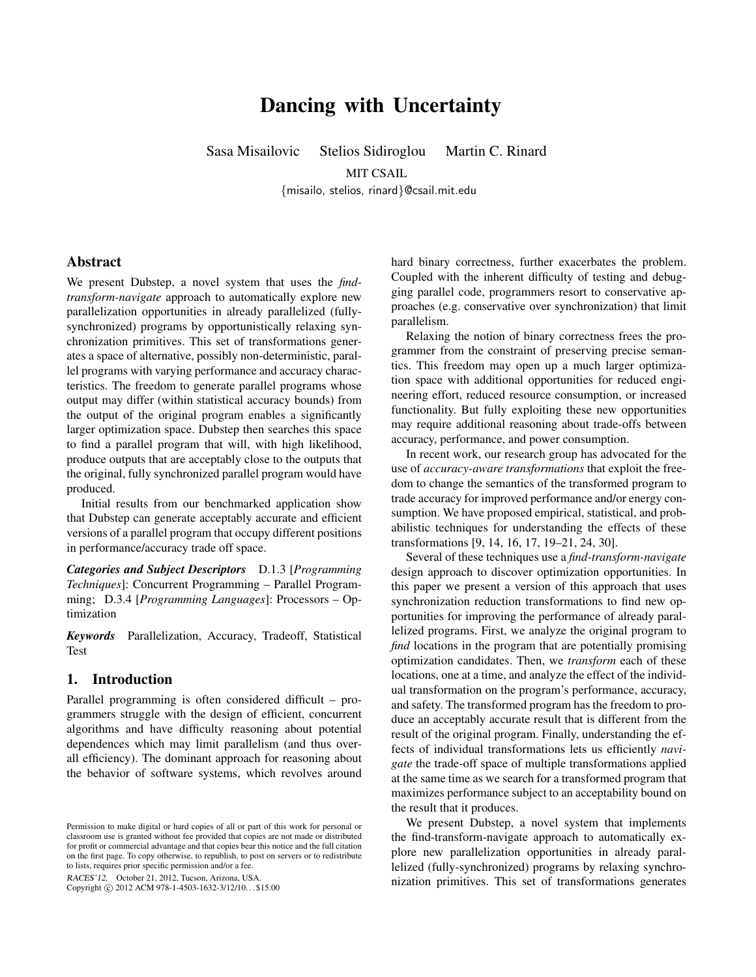# Dancing with Uncertainty

Sasa Misailovic Stelios Sidiroglou Martin C. Rinard

MIT CSAIL

{misailo, stelios, rinard}@csail.mit.edu

## Abstract

We present Dubstep, a novel system that uses the *findtransform-navigate* approach to automatically explore new parallelization opportunities in already parallelized (fullysynchronized) programs by opportunistically relaxing synchronization primitives. This set of transformations generates a space of alternative, possibly non-deterministic, parallel programs with varying performance and accuracy characteristics. The freedom to generate parallel programs whose output may differ (within statistical accuracy bounds) from the output of the original program enables a significantly larger optimization space. Dubstep then searches this space to find a parallel program that will, with high likelihood, produce outputs that are acceptably close to the outputs that the original, fully synchronized parallel program would have produced.

Initial results from our benchmarked application show that Dubstep can generate acceptably accurate and efficient versions of a parallel program that occupy different positions in performance/accuracy trade off space.

*Categories and Subject Descriptors* D.1.3 [*Programming Techniques*]: Concurrent Programming – Parallel Programming; D.3.4 [*Programming Languages*]: Processors – Optimization

*Keywords* Parallelization, Accuracy, Tradeoff, Statistical Test

# 1. Introduction

Parallel programming is often considered difficult – programmers struggle with the design of efficient, concurrent algorithms and have difficulty reasoning about potential dependences which may limit parallelism (and thus overall efficiency). The dominant approach for reasoning about the behavior of software systems, which revolves around

RACES'12, October 21, 2012, Tucson, Arizona, USA.

Copyright © 2012 ACM 978-1-4503-1632-3/12/10... \$15.00

hard binary correctness, further exacerbates the problem. Coupled with the inherent difficulty of testing and debugging parallel code, programmers resort to conservative approaches (e.g. conservative over synchronization) that limit parallelism.

Relaxing the notion of binary correctness frees the programmer from the constraint of preserving precise semantics. This freedom may open up a much larger optimization space with additional opportunities for reduced engineering effort, reduced resource consumption, or increased functionality. But fully exploiting these new opportunities may require additional reasoning about trade-offs between accuracy, performance, and power consumption.

In recent work, our research group has advocated for the use of *accuracy-aware transformations* that exploit the freedom to change the semantics of the transformed program to trade accuracy for improved performance and/or energy consumption. We have proposed empirical, statistical, and probabilistic techniques for understanding the effects of these transformations [9, 14, 16, 17, 19–21, 24, 30].

Several of these techniques use a *find-transform-navigate* design approach to discover optimization opportunities. In this paper we present a version of this approach that uses synchronization reduction transformations to find new opportunities for improving the performance of already parallelized programs. First, we analyze the original program to *find* locations in the program that are potentially promising optimization candidates. Then, we *transform* each of these locations, one at a time, and analyze the effect of the individual transformation on the program's performance, accuracy, and safety. The transformed program has the freedom to produce an acceptably accurate result that is different from the result of the original program. Finally, understanding the effects of individual transformations lets us efficiently *navigate* the trade-off space of multiple transformations applied at the same time as we search for a transformed program that maximizes performance subject to an acceptability bound on the result that it produces.

We present Dubstep, a novel system that implements the find-transform-navigate approach to automatically explore new parallelization opportunities in already parallelized (fully-synchronized) programs by relaxing synchronization primitives. This set of transformations generates

Permission to make digital or hard copies of all or part of this work for personal or classroom use is granted without fee provided that copies are not made or distributed for profit or commercial advantage and that copies bear this notice and the full citation on the first page. To copy otherwise, to republish, to post on servers or to redistribute to lists, requires prior specific permission and/or a fee.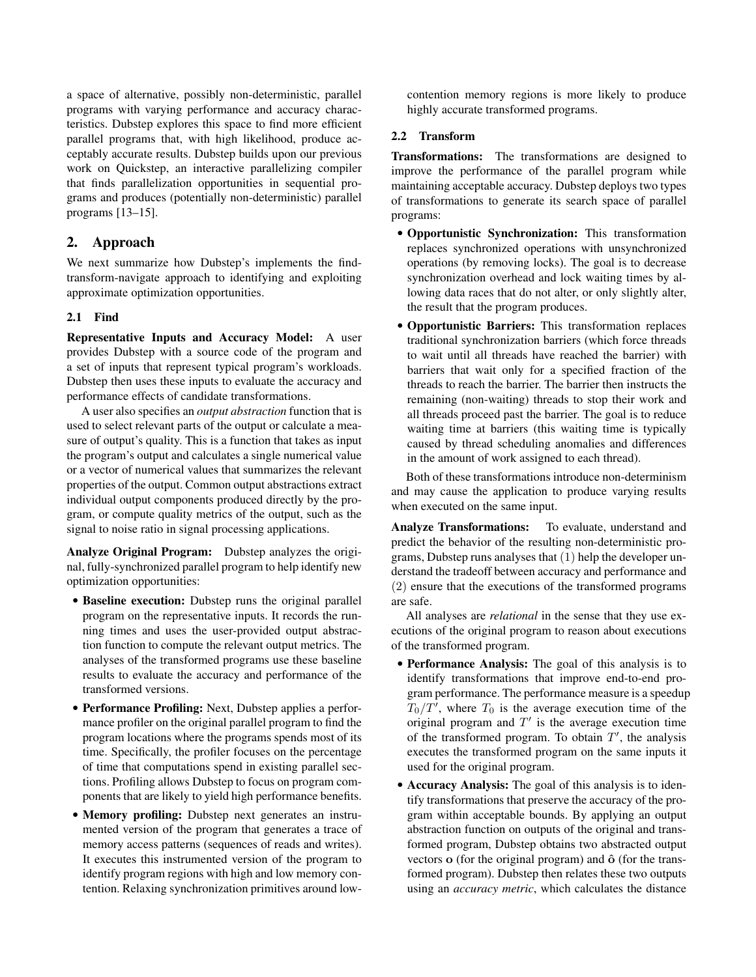a space of alternative, possibly non-deterministic, parallel programs with varying performance and accuracy characteristics. Dubstep explores this space to find more efficient parallel programs that, with high likelihood, produce acceptably accurate results. Dubstep builds upon our previous work on Quickstep, an interactive parallelizing compiler that finds parallelization opportunities in sequential programs and produces (potentially non-deterministic) parallel programs [13–15].

# 2. Approach

We next summarize how Dubstep's implements the findtransform-navigate approach to identifying and exploiting approximate optimization opportunities.

# 2.1 Find

Representative Inputs and Accuracy Model: A user provides Dubstep with a source code of the program and a set of inputs that represent typical program's workloads. Dubstep then uses these inputs to evaluate the accuracy and performance effects of candidate transformations.

A user also specifies an *output abstraction* function that is used to select relevant parts of the output or calculate a measure of output's quality. This is a function that takes as input the program's output and calculates a single numerical value or a vector of numerical values that summarizes the relevant properties of the output. Common output abstractions extract individual output components produced directly by the program, or compute quality metrics of the output, such as the signal to noise ratio in signal processing applications.

Analyze Original Program: Dubstep analyzes the original, fully-synchronized parallel program to help identify new optimization opportunities:

- Baseline execution: Dubstep runs the original parallel program on the representative inputs. It records the running times and uses the user-provided output abstraction function to compute the relevant output metrics. The analyses of the transformed programs use these baseline results to evaluate the accuracy and performance of the transformed versions.
- Performance Profiling: Next, Dubstep applies a performance profiler on the original parallel program to find the program locations where the programs spends most of its time. Specifically, the profiler focuses on the percentage of time that computations spend in existing parallel sections. Profiling allows Dubstep to focus on program components that are likely to yield high performance benefits.
- Memory profiling: Dubstep next generates an instrumented version of the program that generates a trace of memory access patterns (sequences of reads and writes). It executes this instrumented version of the program to identify program regions with high and low memory contention. Relaxing synchronization primitives around low-

contention memory regions is more likely to produce highly accurate transformed programs.

# 2.2 Transform

Transformations: The transformations are designed to improve the performance of the parallel program while maintaining acceptable accuracy. Dubstep deploys two types of transformations to generate its search space of parallel programs:

- Opportunistic Synchronization: This transformation replaces synchronized operations with unsynchronized operations (by removing locks). The goal is to decrease synchronization overhead and lock waiting times by allowing data races that do not alter, or only slightly alter, the result that the program produces.
- Opportunistic Barriers: This transformation replaces traditional synchronization barriers (which force threads to wait until all threads have reached the barrier) with barriers that wait only for a specified fraction of the threads to reach the barrier. The barrier then instructs the remaining (non-waiting) threads to stop their work and all threads proceed past the barrier. The goal is to reduce waiting time at barriers (this waiting time is typically caused by thread scheduling anomalies and differences in the amount of work assigned to each thread).

Both of these transformations introduce non-determinism and may cause the application to produce varying results when executed on the same input.

Analyze Transformations: To evaluate, understand and predict the behavior of the resulting non-deterministic programs, Dubstep runs analyses that (1) help the developer understand the tradeoff between accuracy and performance and (2) ensure that the executions of the transformed programs are safe.

All analyses are *relational* in the sense that they use executions of the original program to reason about executions of the transformed program.

- Performance Analysis: The goal of this analysis is to identify transformations that improve end-to-end program performance. The performance measure is a speedup  $T_0/T'$ , where  $T_0$  is the average execution time of the original program and  $T'$  is the average execution time of the transformed program. To obtain  $T'$ , the analysis executes the transformed program on the same inputs it used for the original program.
- Accuracy Analysis: The goal of this analysis is to identify transformations that preserve the accuracy of the program within acceptable bounds. By applying an output abstraction function on outputs of the original and transformed program, Dubstep obtains two abstracted output vectors  $\alpha$  (for the original program) and  $\hat{\alpha}$  (for the transformed program). Dubstep then relates these two outputs using an *accuracy metric*, which calculates the distance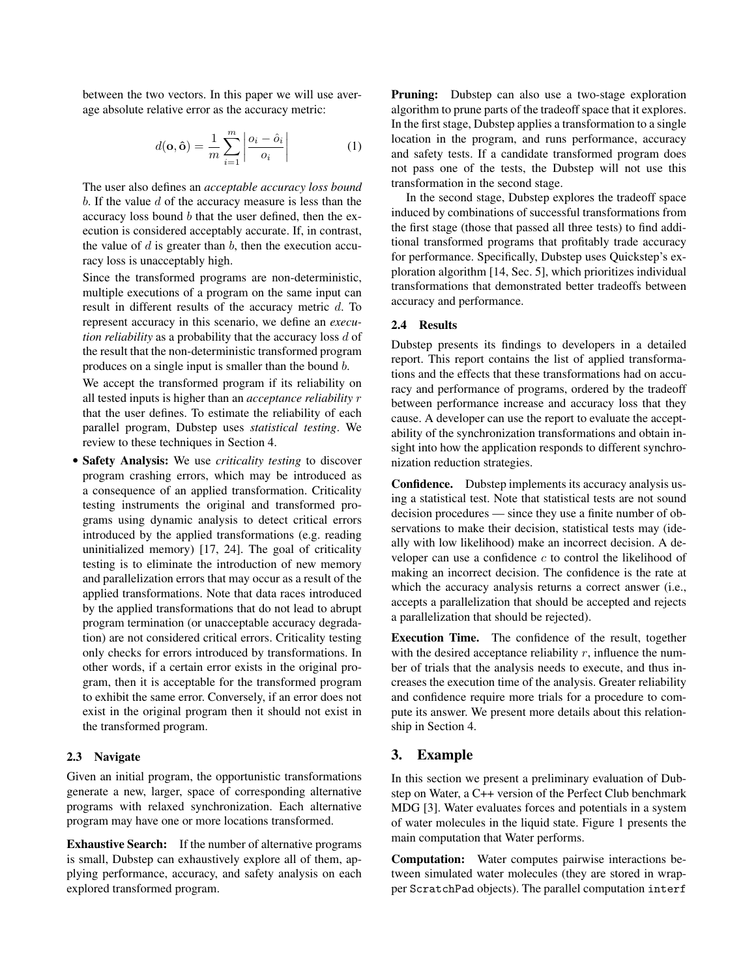between the two vectors. In this paper we will use average absolute relative error as the accuracy metric:

$$
d(\mathbf{o}, \hat{\mathbf{o}}) = \frac{1}{m} \sum_{i=1}^{m} \left| \frac{o_i - \hat{o}_i}{o_i} \right| \tag{1}
$$

The user also defines an *acceptable accuracy loss bound* b. If the value  $d$  of the accuracy measure is less than the accuracy loss bound  $b$  that the user defined, then the execution is considered acceptably accurate. If, in contrast, the value of  $d$  is greater than  $b$ , then the execution accuracy loss is unacceptably high.

Since the transformed programs are non-deterministic, multiple executions of a program on the same input can result in different results of the accuracy metric d. To represent accuracy in this scenario, we define an *execution reliability* as a probability that the accuracy loss d of the result that the non-deterministic transformed program produces on a single input is smaller than the bound b.

We accept the transformed program if its reliability on all tested inputs is higher than an *acceptance reliability* r that the user defines. To estimate the reliability of each parallel program, Dubstep uses *statistical testing*. We review to these techniques in Section 4.

• Safety Analysis: We use *criticality testing* to discover program crashing errors, which may be introduced as a consequence of an applied transformation. Criticality testing instruments the original and transformed programs using dynamic analysis to detect critical errors introduced by the applied transformations (e.g. reading uninitialized memory) [17, 24]. The goal of criticality testing is to eliminate the introduction of new memory and parallelization errors that may occur as a result of the applied transformations. Note that data races introduced by the applied transformations that do not lead to abrupt program termination (or unacceptable accuracy degradation) are not considered critical errors. Criticality testing only checks for errors introduced by transformations. In other words, if a certain error exists in the original program, then it is acceptable for the transformed program to exhibit the same error. Conversely, if an error does not exist in the original program then it should not exist in the transformed program.

#### 2.3 Navigate

Given an initial program, the opportunistic transformations generate a new, larger, space of corresponding alternative programs with relaxed synchronization. Each alternative program may have one or more locations transformed.

Exhaustive Search: If the number of alternative programs is small, Dubstep can exhaustively explore all of them, applying performance, accuracy, and safety analysis on each explored transformed program.

Pruning: Dubstep can also use a two-stage exploration algorithm to prune parts of the tradeoff space that it explores. In the first stage, Dubstep applies a transformation to a single location in the program, and runs performance, accuracy and safety tests. If a candidate transformed program does not pass one of the tests, the Dubstep will not use this transformation in the second stage.

In the second stage, Dubstep explores the tradeoff space induced by combinations of successful transformations from the first stage (those that passed all three tests) to find additional transformed programs that profitably trade accuracy for performance. Specifically, Dubstep uses Quickstep's exploration algorithm [14, Sec. 5], which prioritizes individual transformations that demonstrated better tradeoffs between accuracy and performance.

#### 2.4 Results

Dubstep presents its findings to developers in a detailed report. This report contains the list of applied transformations and the effects that these transformations had on accuracy and performance of programs, ordered by the tradeoff between performance increase and accuracy loss that they cause. A developer can use the report to evaluate the acceptability of the synchronization transformations and obtain insight into how the application responds to different synchronization reduction strategies.

Confidence. Dubstep implements its accuracy analysis using a statistical test. Note that statistical tests are not sound decision procedures — since they use a finite number of observations to make their decision, statistical tests may (ideally with low likelihood) make an incorrect decision. A developer can use a confidence  $c$  to control the likelihood of making an incorrect decision. The confidence is the rate at which the accuracy analysis returns a correct answer (i.e., accepts a parallelization that should be accepted and rejects a parallelization that should be rejected).

Execution Time. The confidence of the result, together with the desired acceptance reliability  $r$ , influence the number of trials that the analysis needs to execute, and thus increases the execution time of the analysis. Greater reliability and confidence require more trials for a procedure to compute its answer. We present more details about this relationship in Section 4.

#### 3. Example

In this section we present a preliminary evaluation of Dubstep on Water, a C++ version of the Perfect Club benchmark MDG [3]. Water evaluates forces and potentials in a system of water molecules in the liquid state. Figure 1 presents the main computation that Water performs.

Computation: Water computes pairwise interactions between simulated water molecules (they are stored in wrapper ScratchPad objects). The parallel computation interf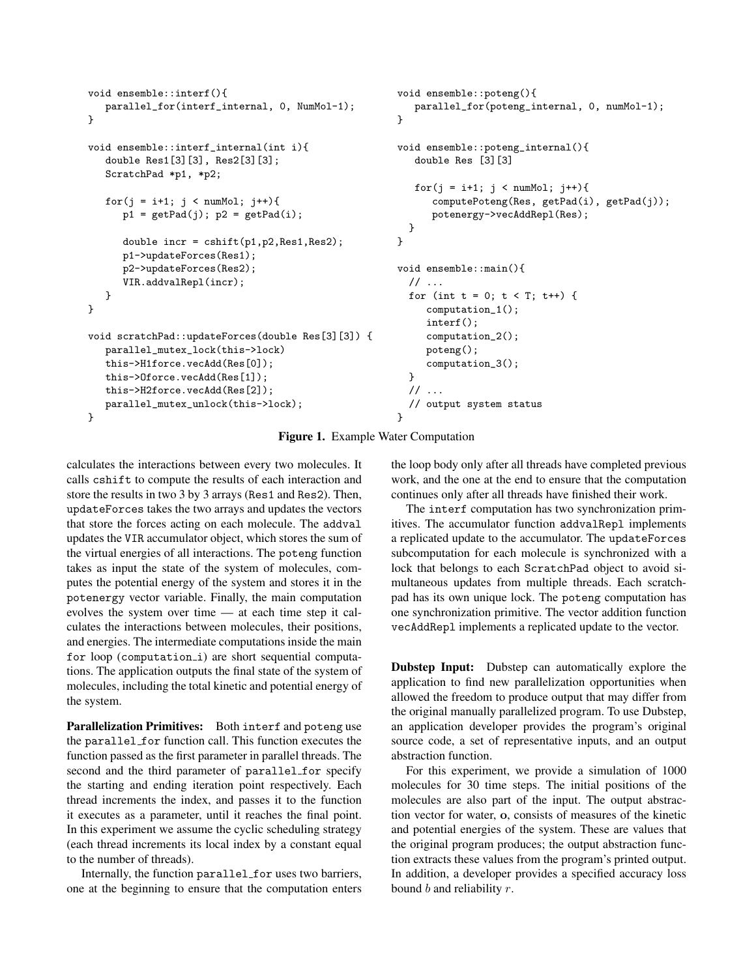```
void ensemble::interf(){
   parallel_for(interf_internal, 0, NumMol-1);
}
void ensemble::interf_internal(int i){
   double Res1[3][3], Res2[3][3];
  ScratchPad *p1, *p2;
   for(j = i+1; j < numMol; j++){
      p1 = getPad(j); p2 = getPad(i);double incr = cshift(p1,p2,Res1,Res2);
      p1->updateForces(Res1);
      p2->updateForces(Res2);
      VIR.addvalRepl(incr);
   }
}
void scratchPad::updateForces(double Res[3][3]) {
  parallel_mutex_lock(this->lock)
   this->H1force.vecAdd(Res[0]);
   this->Oforce.vecAdd(Res[1]);
   this->H2force.vecAdd(Res[2]);
   parallel_mutex_unlock(this->lock);
}
                                                      void ensemble::poteng(){
                                                         parallel_for(poteng_internal, 0, numMol-1);
                                                      }
                                                      void ensemble::poteng_internal(){
                                                         double Res [3][3]
                                                         for(j = i+1; j < numMol; j++){
                                                             computePoteng(Res, getPad(i), getPad(j));
                                                            potenergy->vecAddRepl(Res);
                                                        }
                                                      }
                                                      void ensemble::main(){
                                                        // ...
                                                        for (int t = 0; t < T; t^{++}) {
                                                            computation_1();
                                                            interf();
                                                           computation_2();
                                                           poteng();
                                                           computation_3();
                                                        }
                                                        // ...
                                                        // output system status
                                                      }
```
Figure 1. Example Water Computation

calculates the interactions between every two molecules. It calls cshift to compute the results of each interaction and store the results in two 3 by 3 arrays (Res1 and Res2). Then, updateForces takes the two arrays and updates the vectors that store the forces acting on each molecule. The addval updates the VIR accumulator object, which stores the sum of the virtual energies of all interactions. The poteng function takes as input the state of the system of molecules, computes the potential energy of the system and stores it in the potenergy vector variable. Finally, the main computation evolves the system over time — at each time step it calculates the interactions between molecules, their positions, and energies. The intermediate computations inside the main for loop (computation i) are short sequential computations. The application outputs the final state of the system of molecules, including the total kinetic and potential energy of the system.

Parallelization Primitives: Both interf and poteng use the parallel for function call. This function executes the function passed as the first parameter in parallel threads. The second and the third parameter of parallel\_for specify the starting and ending iteration point respectively. Each thread increments the index, and passes it to the function it executes as a parameter, until it reaches the final point. In this experiment we assume the cyclic scheduling strategy (each thread increments its local index by a constant equal to the number of threads).

Internally, the function parallel for uses two barriers, one at the beginning to ensure that the computation enters

the loop body only after all threads have completed previous work, and the one at the end to ensure that the computation continues only after all threads have finished their work.

The interf computation has two synchronization primitives. The accumulator function addvalRepl implements a replicated update to the accumulator. The updateForces subcomputation for each molecule is synchronized with a lock that belongs to each ScratchPad object to avoid simultaneous updates from multiple threads. Each scratchpad has its own unique lock. The poteng computation has one synchronization primitive. The vector addition function vecAddRepl implements a replicated update to the vector.

Dubstep Input: Dubstep can automatically explore the application to find new parallelization opportunities when allowed the freedom to produce output that may differ from the original manually parallelized program. To use Dubstep, an application developer provides the program's original source code, a set of representative inputs, and an output abstraction function.

For this experiment, we provide a simulation of 1000 molecules for 30 time steps. The initial positions of the molecules are also part of the input. The output abstraction vector for water, o, consists of measures of the kinetic and potential energies of the system. These are values that the original program produces; the output abstraction function extracts these values from the program's printed output. In addition, a developer provides a specified accuracy loss bound  $b$  and reliability  $r$ .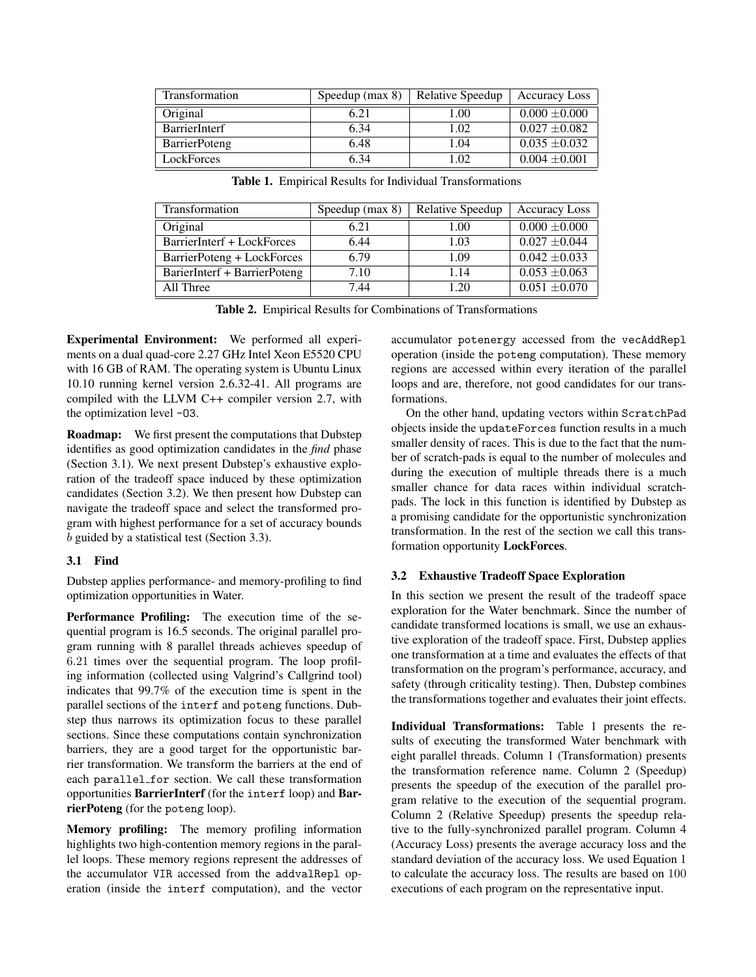| Transformation       | Speedup $(max 8)$ | Relative Speedup | <b>Accuracy Loss</b> |
|----------------------|-------------------|------------------|----------------------|
| Original             | 6.21              | 1.00             | $0.000 \pm 0.000$    |
| <b>BarrierInterf</b> | 6.34              | 1.02             | $0.027 + 0.082$      |
| <b>BarrierPoteng</b> | 6.48              | 1.04             | $0.035 + 0.032$      |
| LockForces           | 6.34              | 1.02             | $0.004 \pm 0.001$    |

Transformation Speedup (max 8) Relative Speedup Accuracy Loss  $\overline{\text{Original}}$  6.21 1.00 0.000  $\pm 0.000$  $\frac{1.03}{0.027 \pm 0.044}$  1.03 0.027  $\pm 0.044$ BarrierPoteng + LockForces 6.79 1.09  $0.042 \pm 0.033$ 

Table 1. Empirical Results for Individual Transformations

All Three 2.44 1.20 0.051 ±0.070 Table 2. Empirical Results for Combinations of Transformations

BarierInterf + BarrierPoteng  $7.10$  1.14  $0.053 \pm 0.063$ 

Experimental Environment: We performed all experiments on a dual quad-core 2.27 GHz Intel Xeon E5520 CPU with 16 GB of RAM. The operating system is Ubuntu Linux 10.10 running kernel version 2.6.32-41. All programs are compiled with the LLVM C++ compiler version 2.7, with the optimization level -O3.

Roadmap: We first present the computations that Dubstep identifies as good optimization candidates in the *find* phase (Section 3.1). We next present Dubstep's exhaustive exploration of the tradeoff space induced by these optimization candidates (Section 3.2). We then present how Dubstep can navigate the tradeoff space and select the transformed program with highest performance for a set of accuracy bounds b guided by a statistical test (Section 3.3).

# 3.1 Find

Dubstep applies performance- and memory-profiling to find optimization opportunities in Water.

Performance Profiling: The execution time of the sequential program is 16.5 seconds. The original parallel program running with 8 parallel threads achieves speedup of 6.21 times over the sequential program. The loop profiling information (collected using Valgrind's Callgrind tool) indicates that 99.7% of the execution time is spent in the parallel sections of the interf and poteng functions. Dubstep thus narrows its optimization focus to these parallel sections. Since these computations contain synchronization barriers, they are a good target for the opportunistic barrier transformation. We transform the barriers at the end of each parallel for section. We call these transformation opportunities BarrierInterf (for the interf loop) and BarrierPoteng (for the poteng loop).

Memory profiling: The memory profiling information highlights two high-contention memory regions in the parallel loops. These memory regions represent the addresses of the accumulator VIR accessed from the addvalRepl operation (inside the interf computation), and the vector accumulator potenergy accessed from the vecAddRepl operation (inside the poteng computation). These memory regions are accessed within every iteration of the parallel loops and are, therefore, not good candidates for our transformations.

On the other hand, updating vectors within ScratchPad objects inside the updateForces function results in a much smaller density of races. This is due to the fact that the number of scratch-pads is equal to the number of molecules and during the execution of multiple threads there is a much smaller chance for data races within individual scratchpads. The lock in this function is identified by Dubstep as a promising candidate for the opportunistic synchronization transformation. In the rest of the section we call this transformation opportunity LockForces.

# 3.2 Exhaustive Tradeoff Space Exploration

In this section we present the result of the tradeoff space exploration for the Water benchmark. Since the number of candidate transformed locations is small, we use an exhaustive exploration of the tradeoff space. First, Dubstep applies one transformation at a time and evaluates the effects of that transformation on the program's performance, accuracy, and safety (through criticality testing). Then, Dubstep combines the transformations together and evaluates their joint effects.

Individual Transformations: Table 1 presents the results of executing the transformed Water benchmark with eight parallel threads. Column 1 (Transformation) presents the transformation reference name. Column 2 (Speedup) presents the speedup of the execution of the parallel program relative to the execution of the sequential program. Column 2 (Relative Speedup) presents the speedup relative to the fully-synchronized parallel program. Column 4 (Accuracy Loss) presents the average accuracy loss and the standard deviation of the accuracy loss. We used Equation 1 to calculate the accuracy loss. The results are based on 100 executions of each program on the representative input.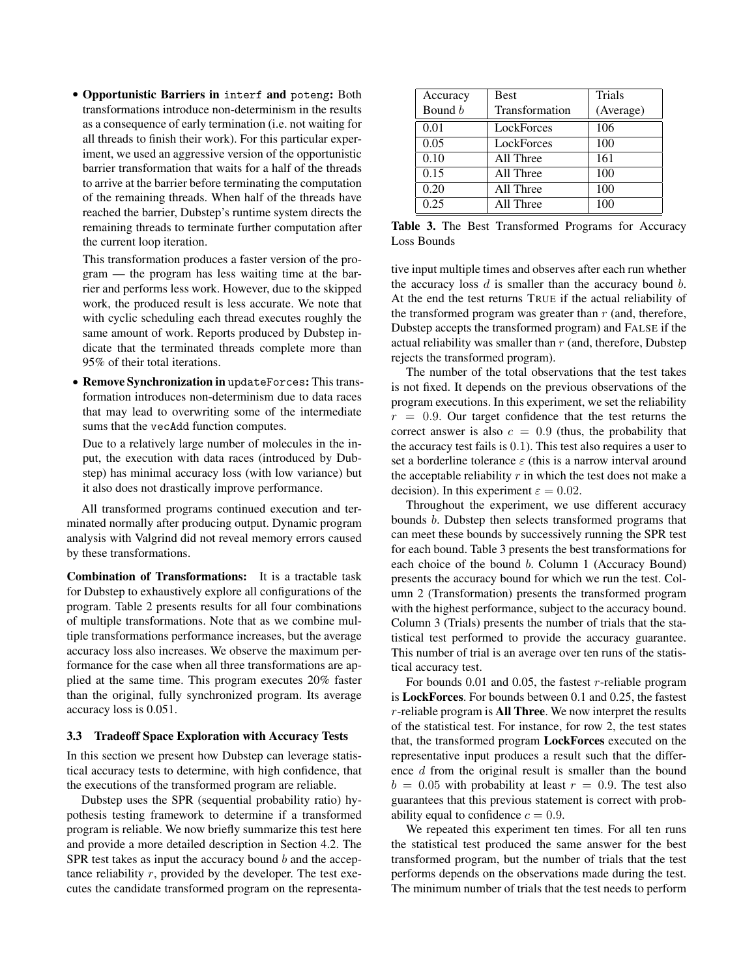• Opportunistic Barriers in interf and poteng: Both transformations introduce non-determinism in the results as a consequence of early termination (i.e. not waiting for all threads to finish their work). For this particular experiment, we used an aggressive version of the opportunistic barrier transformation that waits for a half of the threads to arrive at the barrier before terminating the computation of the remaining threads. When half of the threads have reached the barrier, Dubstep's runtime system directs the remaining threads to terminate further computation after the current loop iteration.

This transformation produces a faster version of the program — the program has less waiting time at the barrier and performs less work. However, due to the skipped work, the produced result is less accurate. We note that with cyclic scheduling each thread executes roughly the same amount of work. Reports produced by Dubstep indicate that the terminated threads complete more than 95% of their total iterations.

• Remove Synchronization in updateForces: This transformation introduces non-determinism due to data races that may lead to overwriting some of the intermediate sums that the vecAdd function computes.

Due to a relatively large number of molecules in the input, the execution with data races (introduced by Dubstep) has minimal accuracy loss (with low variance) but it also does not drastically improve performance.

All transformed programs continued execution and terminated normally after producing output. Dynamic program analysis with Valgrind did not reveal memory errors caused by these transformations.

Combination of Transformations: It is a tractable task for Dubstep to exhaustively explore all configurations of the program. Table 2 presents results for all four combinations of multiple transformations. Note that as we combine multiple transformations performance increases, but the average accuracy loss also increases. We observe the maximum performance for the case when all three transformations are applied at the same time. This program executes 20% faster than the original, fully synchronized program. Its average accuracy loss is 0.051.

#### 3.3 Tradeoff Space Exploration with Accuracy Tests

In this section we present how Dubstep can leverage statistical accuracy tests to determine, with high confidence, that the executions of the transformed program are reliable.

Dubstep uses the SPR (sequential probability ratio) hypothesis testing framework to determine if a transformed program is reliable. We now briefly summarize this test here and provide a more detailed description in Section 4.2. The SPR test takes as input the accuracy bound  $b$  and the acceptance reliability  $r$ , provided by the developer. The test executes the candidate transformed program on the representa-

| Accuracy | <b>Best</b>    | <b>Trials</b> |
|----------|----------------|---------------|
| Bound b  | Transformation | (Average)     |
| 0.01     | LockForces     | 106           |
| 0.05     | LockForces     | 100           |
| 0.10     | All Three      | 161           |
| 0.15     | All Three      | 100           |
| 0.20     | All Three      | 100           |
| 0.25     | All Three      | 100           |

Table 3. The Best Transformed Programs for Accuracy Loss Bounds

tive input multiple times and observes after each run whether the accuracy loss  $d$  is smaller than the accuracy bound  $b$ . At the end the test returns TRUE if the actual reliability of the transformed program was greater than  $r$  (and, therefore, Dubstep accepts the transformed program) and FALSE if the actual reliability was smaller than  $r$  (and, therefore, Dubstep rejects the transformed program).

The number of the total observations that the test takes is not fixed. It depends on the previous observations of the program executions. In this experiment, we set the reliability  $r = 0.9$ . Our target confidence that the test returns the correct answer is also  $c = 0.9$  (thus, the probability that the accuracy test fails is 0.1). This test also requires a user to set a borderline tolerance  $\varepsilon$  (this is a narrow interval around the acceptable reliability  $r$  in which the test does not make a decision). In this experiment  $\varepsilon = 0.02$ .

Throughout the experiment, we use different accuracy bounds b. Dubstep then selects transformed programs that can meet these bounds by successively running the SPR test for each bound. Table 3 presents the best transformations for each choice of the bound b. Column 1 (Accuracy Bound) presents the accuracy bound for which we run the test. Column 2 (Transformation) presents the transformed program with the highest performance, subject to the accuracy bound. Column 3 (Trials) presents the number of trials that the statistical test performed to provide the accuracy guarantee. This number of trial is an average over ten runs of the statistical accuracy test.

For bounds  $0.01$  and  $0.05$ , the fastest r-reliable program is LockForces. For bounds between 0.1 and 0.25, the fastest  $r$ -reliable program is **All Three**. We now interpret the results of the statistical test. For instance, for row 2, the test states that, the transformed program LockForces executed on the representative input produces a result such that the difference d from the original result is smaller than the bound  $b = 0.05$  with probability at least  $r = 0.9$ . The test also guarantees that this previous statement is correct with probability equal to confidence  $c = 0.9$ .

We repeated this experiment ten times. For all ten runs the statistical test produced the same answer for the best transformed program, but the number of trials that the test performs depends on the observations made during the test. The minimum number of trials that the test needs to perform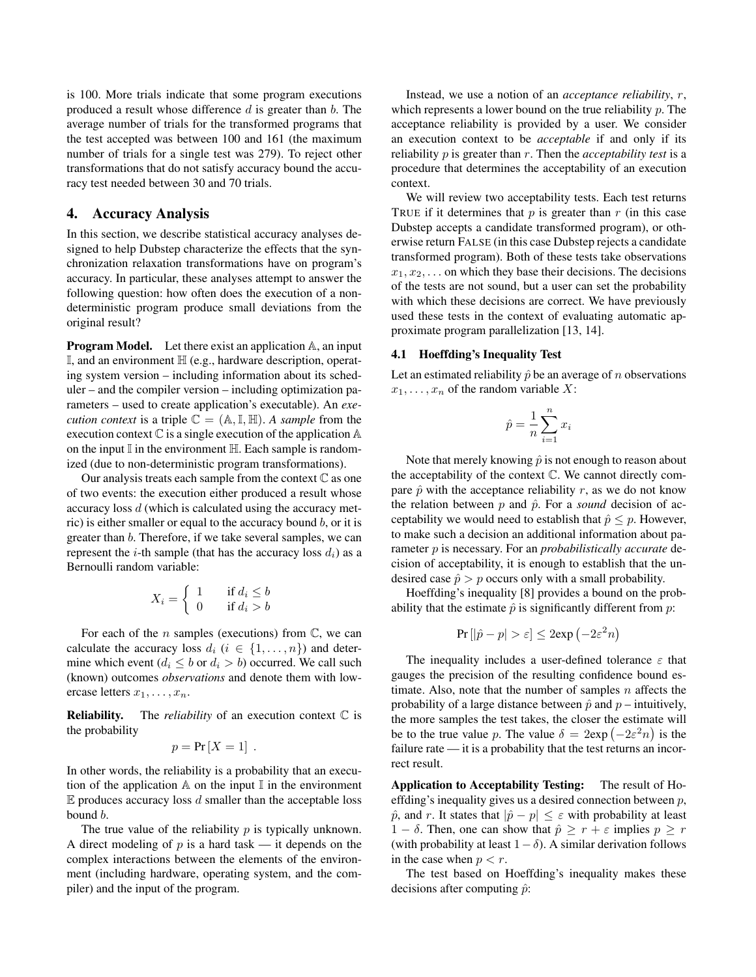is 100. More trials indicate that some program executions produced a result whose difference  $d$  is greater than  $b$ . The average number of trials for the transformed programs that the test accepted was between 100 and 161 (the maximum number of trials for a single test was 279). To reject other transformations that do not satisfy accuracy bound the accuracy test needed between 30 and 70 trials.

## 4. Accuracy Analysis

In this section, we describe statistical accuracy analyses designed to help Dubstep characterize the effects that the synchronization relaxation transformations have on program's accuracy. In particular, these analyses attempt to answer the following question: how often does the execution of a nondeterministic program produce small deviations from the original result?

Program Model. Let there exist an application A, an input I, and an environment H (e.g., hardware description, operating system version – including information about its scheduler – and the compiler version – including optimization parameters – used to create application's executable). An *execution context* is a triple  $\mathbb{C} = (\mathbb{A}, \mathbb{I}, \mathbb{H})$ . *A sample* from the execution context  $\mathbb C$  is a single execution of the application  $\mathbb A$ on the input  $\mathbb I$  in the environment  $\mathbb H$ . Each sample is randomized (due to non-deterministic program transformations).

Our analysis treats each sample from the context  $\mathbb C$  as one of two events: the execution either produced a result whose accuracy loss d (which is calculated using the accuracy metric) is either smaller or equal to the accuracy bound  $b$ , or it is greater than b. Therefore, if we take several samples, we can represent the *i*-th sample (that has the accuracy loss  $d_i$ ) as a Bernoulli random variable:

$$
X_i = \begin{cases} 1 & \text{if } d_i \le b \\ 0 & \text{if } d_i > b \end{cases}
$$

For each of the *n* samples (executions) from  $\mathbb{C}$ , we can calculate the accuracy loss  $d_i$  ( $i \in \{1, ..., n\}$ ) and determine which event ( $d_i \leq b$  or  $d_i > b$ ) occurred. We call such (known) outcomes *observations* and denote them with lowercase letters  $x_1, \ldots, x_n$ .

**Reliability.** The *reliability* of an execution context  $\mathbb C$  is the probability

$$
p = \Pr[X = 1] .
$$

In other words, the reliability is a probability that an execution of the application  $A$  on the input  $I$  in the environment  $E$  produces accuracy loss  $d$  smaller than the acceptable loss bound b.

The true value of the reliability  $p$  is typically unknown. A direct modeling of  $p$  is a hard task — it depends on the complex interactions between the elements of the environment (including hardware, operating system, and the compiler) and the input of the program.

Instead, we use a notion of an *acceptance reliability*, r, which represents a lower bound on the true reliability p. The acceptance reliability is provided by a user. We consider an execution context to be *acceptable* if and only if its reliability p is greater than r. Then the *acceptability test* is a procedure that determines the acceptability of an execution context.

We will review two acceptability tests. Each test returns TRUE if it determines that  $p$  is greater than  $r$  (in this case Dubstep accepts a candidate transformed program), or otherwise return FALSE (in this case Dubstep rejects a candidate transformed program). Both of these tests take observations  $x_1, x_2, \ldots$  on which they base their decisions. The decisions of the tests are not sound, but a user can set the probability with which these decisions are correct. We have previously used these tests in the context of evaluating automatic approximate program parallelization [13, 14].

#### 4.1 Hoeffding's Inequality Test

Let an estimated reliability  $\hat{p}$  be an average of n observations  $x_1, \ldots, x_n$  of the random variable X:

$$
\hat{p} = \frac{1}{n} \sum_{i=1}^{n} x_i
$$

Note that merely knowing  $\hat{p}$  is not enough to reason about the acceptability of the context C. We cannot directly compare  $\hat{p}$  with the acceptance reliability r, as we do not know the relation between  $p$  and  $\hat{p}$ . For a *sound* decision of acceptability we would need to establish that  $\hat{p} \leq p$ . However, to make such a decision an additional information about parameter p is necessary. For an *probabilistically accurate* decision of acceptability, it is enough to establish that the undesired case  $\hat{p} > p$  occurs only with a small probability.

Hoeffding's inequality [8] provides a bound on the probability that the estimate  $\hat{p}$  is significantly different from  $p$ :

$$
Pr[|\hat{p} - p| > \varepsilon] \le 2exp(-2\varepsilon^2 n)
$$

The inequality includes a user-defined tolerance  $\varepsilon$  that gauges the precision of the resulting confidence bound estimate. Also, note that the number of samples  $n$  affects the probability of a large distance between  $\hat{p}$  and  $p$  – intuitively, the more samples the test takes, the closer the estimate will be to the true value p. The value  $\delta = 2 \exp(-2\varepsilon^2 n)$  is the failure rate — it is a probability that the test returns an incorrect result.

Application to Acceptability Testing: The result of Hoeffding's inequality gives us a desired connection between p,  $\hat{p}$ , and r. It states that  $|\hat{p} - p| \leq \varepsilon$  with probability at least 1 − δ. Then, one can show that  $\hat{p} > r + \varepsilon$  implies  $p > r$ (with probability at least  $1-\delta$ ). A similar derivation follows in the case when  $p < r$ .

The test based on Hoeffding's inequality makes these decisions after computing  $\hat{p}$ :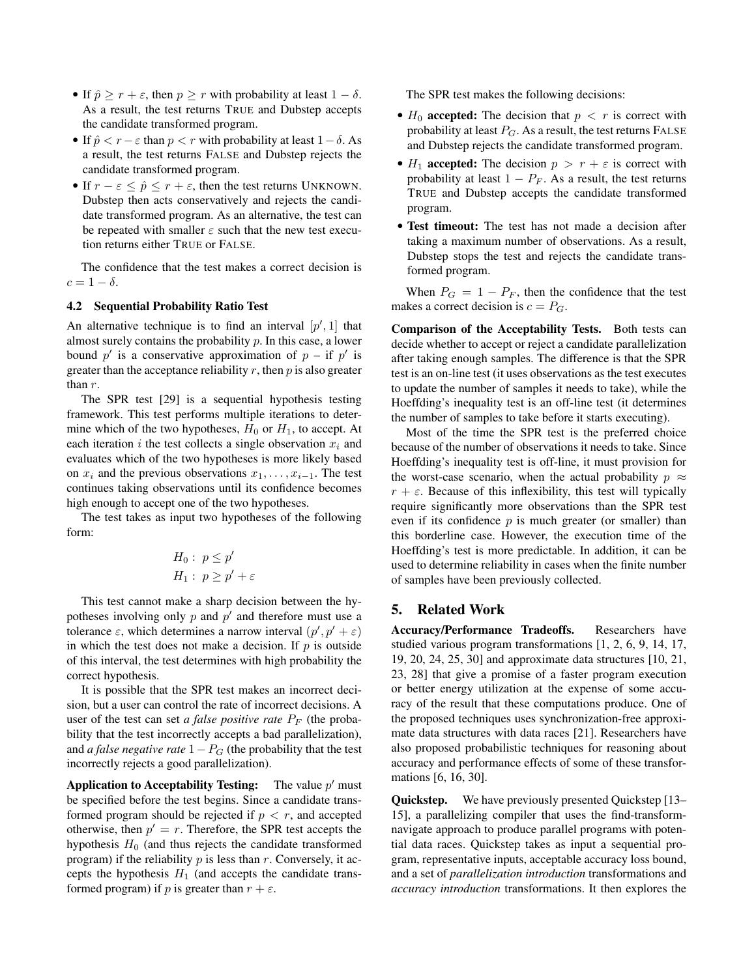- If  $\hat{p} \ge r + \varepsilon$ , then  $p \ge r$  with probability at least  $1 \delta$ . As a result, the test returns TRUE and Dubstep accepts the candidate transformed program.
- If  $\hat{p} < r \varepsilon$  than  $p < r$  with probability at least  $1 \delta$ . As a result, the test returns FALSE and Dubstep rejects the candidate transformed program.
- If  $r \varepsilon \leq \hat{p} \leq r + \varepsilon$ , then the test returns UNKNOWN. Dubstep then acts conservatively and rejects the candidate transformed program. As an alternative, the test can be repeated with smaller  $\varepsilon$  such that the new test execution returns either TRUE or FALSE.

The confidence that the test makes a correct decision is  $c = 1 - \delta$ .

#### 4.2 Sequential Probability Ratio Test

An alternative technique is to find an interval  $[p', 1]$  that almost surely contains the probability  $p$ . In this case, a lower bound  $p'$  is a conservative approximation of  $p - if p'$  is greater than the acceptance reliability  $r$ , then  $p$  is also greater than r.

The SPR test [29] is a sequential hypothesis testing framework. This test performs multiple iterations to determine which of the two hypotheses,  $H_0$  or  $H_1$ , to accept. At each iteration  $i$  the test collects a single observation  $x_i$  and evaluates which of the two hypotheses is more likely based on  $x_i$  and the previous observations  $x_1, \ldots, x_{i-1}$ . The test continues taking observations until its confidence becomes high enough to accept one of the two hypotheses.

The test takes as input two hypotheses of the following form:

$$
H_0: p \le p'
$$
  

$$
H_1: p \ge p' + \varepsilon
$$

This test cannot make a sharp decision between the hypotheses involving only  $p$  and  $p'$  and therefore must use a tolerance  $\varepsilon$ , which determines a narrow interval  $(p', p' + \varepsilon)$ in which the test does not make a decision. If  $p$  is outside of this interval, the test determines with high probability the correct hypothesis.

It is possible that the SPR test makes an incorrect decision, but a user can control the rate of incorrect decisions. A user of the test can set *a false positive rate*  $P_F$  (the probability that the test incorrectly accepts a bad parallelization), and *a false negative rate* 1−P<sup>G</sup> (the probability that the test incorrectly rejects a good parallelization).

Application to Acceptability Testing: The value  $p'$  must be specified before the test begins. Since a candidate transformed program should be rejected if  $p < r$ , and accepted otherwise, then  $p' = r$ . Therefore, the SPR test accepts the hypothesis  $H_0$  (and thus rejects the candidate transformed program) if the reliability  $p$  is less than  $r$ . Conversely, it accepts the hypothesis  $H_1$  (and accepts the candidate transformed program) if p is greater than  $r + \varepsilon$ .

The SPR test makes the following decisions:

- $H_0$  accepted: The decision that  $p < r$  is correct with probability at least  $P_G$ . As a result, the test returns FALSE and Dubstep rejects the candidate transformed program.
- $H_1$  accepted: The decision  $p > r + \varepsilon$  is correct with probability at least  $1 - P_F$ . As a result, the test returns TRUE and Dubstep accepts the candidate transformed program.
- Test timeout: The test has not made a decision after taking a maximum number of observations. As a result, Dubstep stops the test and rejects the candidate transformed program.

When  $P_G = 1 - P_F$ , then the confidence that the test makes a correct decision is  $c = P_G$ .

Comparison of the Acceptability Tests. Both tests can decide whether to accept or reject a candidate parallelization after taking enough samples. The difference is that the SPR test is an on-line test (it uses observations as the test executes to update the number of samples it needs to take), while the Hoeffding's inequality test is an off-line test (it determines the number of samples to take before it starts executing).

Most of the time the SPR test is the preferred choice because of the number of observations it needs to take. Since Hoeffding's inequality test is off-line, it must provision for the worst-case scenario, when the actual probability  $p \approx$  $r + \varepsilon$ . Because of this inflexibility, this test will typically require significantly more observations than the SPR test even if its confidence  $p$  is much greater (or smaller) than this borderline case. However, the execution time of the Hoeffding's test is more predictable. In addition, it can be used to determine reliability in cases when the finite number of samples have been previously collected.

# 5. Related Work

Accuracy/Performance Tradeoffs. Researchers have studied various program transformations [1, 2, 6, 9, 14, 17, 19, 20, 24, 25, 30] and approximate data structures [10, 21, 23, 28] that give a promise of a faster program execution or better energy utilization at the expense of some accuracy of the result that these computations produce. One of the proposed techniques uses synchronization-free approximate data structures with data races [21]. Researchers have also proposed probabilistic techniques for reasoning about accuracy and performance effects of some of these transformations [6, 16, 30].

Quickstep. We have previously presented Quickstep [13– 15], a parallelizing compiler that uses the find-transformnavigate approach to produce parallel programs with potential data races. Quickstep takes as input a sequential program, representative inputs, acceptable accuracy loss bound, and a set of *parallelization introduction* transformations and *accuracy introduction* transformations. It then explores the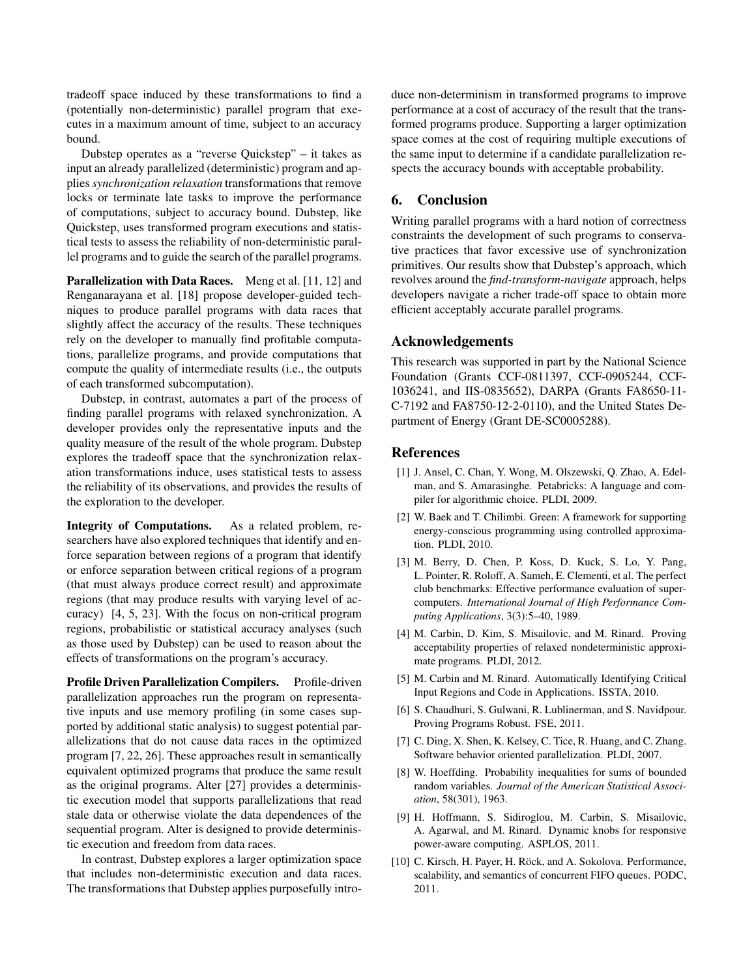tradeoff space induced by these transformations to find a (potentially non-deterministic) parallel program that executes in a maximum amount of time, subject to an accuracy bound.

Dubstep operates as a "reverse Quickstep" – it takes as input an already parallelized (deterministic) program and applies*synchronization relaxation* transformations that remove locks or terminate late tasks to improve the performance of computations, subject to accuracy bound. Dubstep, like Quickstep, uses transformed program executions and statistical tests to assess the reliability of non-deterministic parallel programs and to guide the search of the parallel programs.

Parallelization with Data Races. Meng et al. [11, 12] and Renganarayana et al. [18] propose developer-guided techniques to produce parallel programs with data races that slightly affect the accuracy of the results. These techniques rely on the developer to manually find profitable computations, parallelize programs, and provide computations that compute the quality of intermediate results (i.e., the outputs of each transformed subcomputation).

Dubstep, in contrast, automates a part of the process of finding parallel programs with relaxed synchronization. A developer provides only the representative inputs and the quality measure of the result of the whole program. Dubstep explores the tradeoff space that the synchronization relaxation transformations induce, uses statistical tests to assess the reliability of its observations, and provides the results of the exploration to the developer.

Integrity of Computations. As a related problem, researchers have also explored techniques that identify and enforce separation between regions of a program that identify or enforce separation between critical regions of a program (that must always produce correct result) and approximate regions (that may produce results with varying level of accuracy) [4, 5, 23]. With the focus on non-critical program regions, probabilistic or statistical accuracy analyses (such as those used by Dubstep) can be used to reason about the effects of transformations on the program's accuracy.

**Profile Driven Parallelization Compilers.** Profile-driven parallelization approaches run the program on representative inputs and use memory profiling (in some cases supported by additional static analysis) to suggest potential parallelizations that do not cause data races in the optimized program [7, 22, 26]. These approaches result in semantically equivalent optimized programs that produce the same result as the original programs. Alter [27] provides a deterministic execution model that supports parallelizations that read stale data or otherwise violate the data dependences of the sequential program. Alter is designed to provide deterministic execution and freedom from data races.

In contrast, Dubstep explores a larger optimization space that includes non-deterministic execution and data races. The transformations that Dubstep applies purposefully introduce non-determinism in transformed programs to improve performance at a cost of accuracy of the result that the transformed programs produce. Supporting a larger optimization space comes at the cost of requiring multiple executions of the same input to determine if a candidate parallelization respects the accuracy bounds with acceptable probability.

# 6. Conclusion

Writing parallel programs with a hard notion of correctness constraints the development of such programs to conservative practices that favor excessive use of synchronization primitives. Our results show that Dubstep's approach, which revolves around the *find-transform-navigate* approach, helps developers navigate a richer trade-off space to obtain more efficient acceptably accurate parallel programs.

#### Acknowledgements

This research was supported in part by the National Science Foundation (Grants CCF-0811397, CCF-0905244, CCF-1036241, and IIS-0835652), DARPA (Grants FA8650-11- C-7192 and FA8750-12-2-0110), and the United States Department of Energy (Grant DE-SC0005288).

## References

- [1] J. Ansel, C. Chan, Y. Wong, M. Olszewski, Q. Zhao, A. Edelman, and S. Amarasinghe. Petabricks: A language and compiler for algorithmic choice. PLDI, 2009.
- [2] W. Baek and T. Chilimbi. Green: A framework for supporting energy-conscious programming using controlled approximation. PLDI, 2010.
- [3] M. Berry, D. Chen, P. Koss, D. Kuck, S. Lo, Y. Pang, L. Pointer, R. Roloff, A. Sameh, E. Clementi, et al. The perfect club benchmarks: Effective performance evaluation of supercomputers. *International Journal of High Performance Computing Applications*, 3(3):5–40, 1989.
- [4] M. Carbin, D. Kim, S. Misailovic, and M. Rinard. Proving acceptability properties of relaxed nondeterministic approximate programs. PLDI, 2012.
- [5] M. Carbin and M. Rinard. Automatically Identifying Critical Input Regions and Code in Applications. ISSTA, 2010.
- [6] S. Chaudhuri, S. Gulwani, R. Lublinerman, and S. Navidpour. Proving Programs Robust. FSE, 2011.
- [7] C. Ding, X. Shen, K. Kelsey, C. Tice, R. Huang, and C. Zhang. Software behavior oriented parallelization. PLDI, 2007.
- [8] W. Hoeffding. Probability inequalities for sums of bounded random variables. *Journal of the American Statistical Association*, 58(301), 1963.
- [9] H. Hoffmann, S. Sidiroglou, M. Carbin, S. Misailovic, A. Agarwal, and M. Rinard. Dynamic knobs for responsive power-aware computing. ASPLOS, 2011.
- [10] C. Kirsch, H. Payer, H. Röck, and A. Sokolova. Performance, scalability, and semantics of concurrent FIFO queues. PODC, 2011.